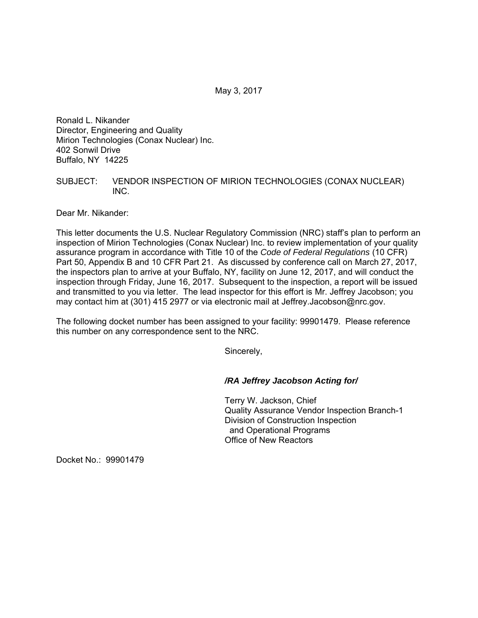May 3, 2017

Ronald L. Nikander Director, Engineering and Quality Mirion Technologies (Conax Nuclear) Inc. 402 Sonwil Drive Buffalo, NY 14225

## SUBJECT: VENDOR INSPECTION OF MIRION TECHNOLOGIES (CONAX NUCLEAR) INC.

Dear Mr. Nikander:

This letter documents the U.S. Nuclear Regulatory Commission (NRC) staff's plan to perform an inspection of Mirion Technologies (Conax Nuclear) Inc. to review implementation of your quality assurance program in accordance with Title 10 of the *Code of Federal Regulations* (10 CFR) Part 50, Appendix B and 10 CFR Part 21. As discussed by conference call on March 27, 2017, the inspectors plan to arrive at your Buffalo, NY, facility on June 12, 2017, and will conduct the inspection through Friday, June 16, 2017. Subsequent to the inspection, a report will be issued and transmitted to you via letter. The lead inspector for this effort is Mr. Jeffrey Jacobson; you may contact him at (301) 415 2977 or via electronic mail at Jeffrey.Jacobson@nrc.gov.

The following docket number has been assigned to your facility: 99901479. Please reference this number on any correspondence sent to the NRC.

Sincerely,

## */RA Jeffrey Jacobson Acting for/*

Terry W. Jackson, Chief Quality Assurance Vendor Inspection Branch-1 Division of Construction Inspection and Operational Programs Office of New Reactors

Docket No.: 99901479